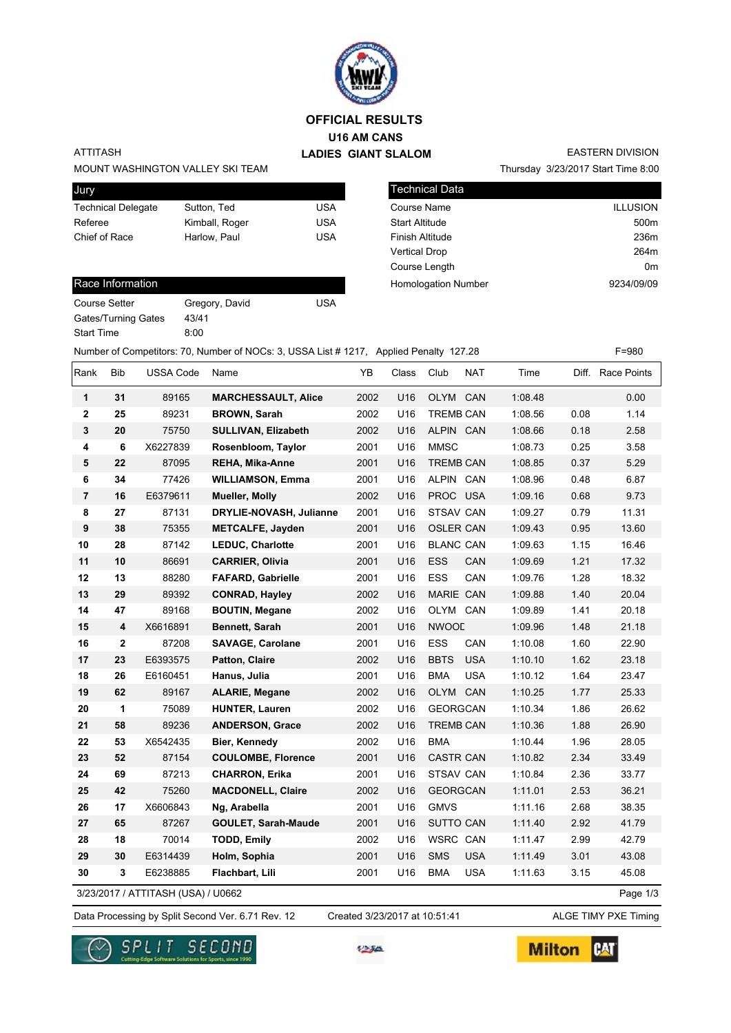

## **U16 AM CANS LADIES GIANT SLALOM OFFICIAL RESULTS**

### ATTITASH

MOUNT WASHINGTON VALLEY SKI TEAM

| Jury                      |                |     |
|---------------------------|----------------|-----|
| <b>Technical Delegate</b> | Sutton, Ted    | USA |
| Referee                   | Kimball, Roger | USA |
| Chief of Race             | Harlow. Paul   | USA |
|                           |                |     |

### Race Information

Gates/Turning Gates 43/41

Start Time 8:00

| <b>Technical Data</b>  |                 |
|------------------------|-----------------|
| Course Name            | <b>ILLUSION</b> |
| <b>Start Altitude</b>  | 500m            |
| <b>Finish Altitude</b> | 236m            |
| <b>Vertical Drop</b>   | 264m            |
| Course Length          | 0m              |

Homologation Number 9234/09/09

Thursday 3/23/2017 Start Time 8:00

EASTERN DIVISION

Course Setter Gregory, David USA

Number of Competitors: 70, Number of NOCs: 3, USSA List # 1217, Applied Penalty 127.28 F=980

| Rank                               | Bib                     | <b>USSA Code</b> | Name                       | YB   | Class | Club             | NAT        | Time    |          | Diff. Race Points |
|------------------------------------|-------------------------|------------------|----------------------------|------|-------|------------------|------------|---------|----------|-------------------|
| 1                                  | 31                      | 89165            | <b>MARCHESSAULT, Alice</b> | 2002 | U16   | OLYM             | CAN        | 1:08.48 |          | 0.00              |
| 2                                  | 25                      | 89231            | <b>BROWN, Sarah</b>        | 2002 | U16   | <b>TREMB CAN</b> |            | 1:08.56 | 0.08     | 1.14              |
| 3                                  | 20                      | 75750            | <b>SULLIVAN, Elizabeth</b> | 2002 | U16   | ALPIN CAN        |            | 1:08.66 | 0.18     | 2.58              |
| 4                                  | 6                       | X6227839         | Rosenbloom, Taylor         | 2001 | U16   | <b>MMSC</b>      |            | 1:08.73 | 0.25     | 3.58              |
| 5                                  | 22                      | 87095            | <b>REHA, Mika-Anne</b>     | 2001 | U16   | <b>TREMB CAN</b> |            | 1:08.85 | 0.37     | 5.29              |
| 6                                  | 34                      | 77426            | <b>WILLIAMSON, Emma</b>    | 2001 | U16   | ALPIN CAN        |            | 1:08.96 | 0.48     | 6.87              |
| $\overline{7}$                     | 16                      | E6379611         | Mueller, Molly             | 2002 | U16   | PROC USA         |            | 1:09.16 | 0.68     | 9.73              |
| 8                                  | 27                      | 87131            | DRYLIE-NOVASH, Julianne    | 2001 | U16   | <b>STSAV CAN</b> |            | 1:09.27 | 0.79     | 11.31             |
| 9                                  | 38                      | 75355            | <b>METCALFE, Jayden</b>    | 2001 | U16   | <b>OSLER CAN</b> |            | 1:09.43 | 0.95     | 13.60             |
| 10                                 | 28                      | 87142            | LEDUC, Charlotte           | 2001 | U16   | <b>BLANC CAN</b> |            | 1:09.63 | 1.15     | 16.46             |
| 11                                 | 10                      | 86691            | <b>CARRIER, Olivia</b>     | 2001 | U16   | ESS              | CAN        | 1:09.69 | 1.21     | 17.32             |
| 12                                 | 13                      | 88280            | <b>FAFARD, Gabrielle</b>   | 2001 | U16   | ESS              | CAN        | 1:09.76 | 1.28     | 18.32             |
| 13                                 | 29                      | 89392            | <b>CONRAD, Hayley</b>      | 2002 | U16   | MARIE CAN        |            | 1:09.88 | 1.40     | 20.04             |
| 14                                 | 47                      | 89168            | <b>BOUTIN, Megane</b>      | 2002 | U16   | OLYM CAN         |            | 1:09.89 | 1.41     | 20.18             |
| 15                                 | $\overline{\mathbf{4}}$ | X6616891         | Bennett, Sarah             | 2001 | U16   | <b>NWOOL</b>     |            | 1:09.96 | 1.48     | 21.18             |
| 16                                 | $\mathbf{2}$            | 87208            | <b>SAVAGE, Carolane</b>    | 2001 | U16   | <b>ESS</b>       | CAN        | 1:10.08 | 1.60     | 22.90             |
| 17                                 | 23                      | E6393575         | Patton, Claire             | 2002 | U16   | <b>BBTS</b>      | <b>USA</b> | 1:10.10 | 1.62     | 23.18             |
| 18                                 | 26                      | E6160451         | Hanus, Julia               | 2001 | U16   | <b>BMA</b>       | <b>USA</b> | 1:10.12 | 1.64     | 23.47             |
| 19                                 | 62                      | 89167            | <b>ALARIE, Megane</b>      | 2002 | U16   | OLYM CAN         |            | 1:10.25 | 1.77     | 25.33             |
| 20                                 | 1                       | 75089            | <b>HUNTER, Lauren</b>      | 2002 | U16   | <b>GEORGCAN</b>  |            | 1:10.34 | 1.86     | 26.62             |
| 21                                 | 58                      | 89236            | <b>ANDERSON, Grace</b>     | 2002 | U16   | <b>TREMB CAN</b> |            | 1:10.36 | 1.88     | 26.90             |
| 22                                 | 53                      | X6542435         | Bier, Kennedy              | 2002 | U16   | <b>BMA</b>       |            | 1:10.44 | 1.96     | 28.05             |
| 23                                 | 52                      | 87154            | <b>COULOMBE, Florence</b>  | 2001 | U16   | <b>CASTR CAN</b> |            | 1:10.82 | 2.34     | 33.49             |
| 24                                 | 69                      | 87213            | <b>CHARRON, Erika</b>      | 2001 | U16   | <b>STSAV CAN</b> |            | 1:10.84 | 2.36     | 33.77             |
| 25                                 | 42                      | 75260            | <b>MACDONELL, Claire</b>   | 2002 | U16   | <b>GEORGCAN</b>  |            | 1:11.01 | 2.53     | 36.21             |
| 26                                 | 17                      | X6606843         | Ng, Arabella               | 2001 | U16   | <b>GMVS</b>      |            | 1:11.16 | 2.68     | 38.35             |
| 27                                 | 65                      | 87267            | <b>GOULET, Sarah-Maude</b> | 2001 | U16   | <b>SUTTO CAN</b> |            | 1:11.40 | 2.92     | 41.79             |
| 28                                 | 18                      | 70014            | <b>TODD, Emily</b>         | 2002 | U16   | <b>WSRC CAN</b>  |            | 1:11.47 | 2.99     | 42.79             |
| 29                                 | 30                      | E6314439         | Holm, Sophia               | 2001 | U16   | SMS              | <b>USA</b> | 1:11.49 | 3.01     | 43.08             |
| 30                                 | 3                       | E6238885         | Flachbart, Lili            | 2001 | U16   | <b>BMA</b>       | <b>USA</b> | 1:11.63 | 3.15     | 45.08             |
| 3/23/2017 / ATTITASH (USA) / U0662 |                         |                  |                            |      |       |                  |            |         | Page 1/3 |                   |

Data Processing by Split Second Ver. 6.71 Rev. 12 Created 3/23/2017 at 10:51:41 ALGE TIMY PXE Timing Created 3/23/2017 at 10:51:41





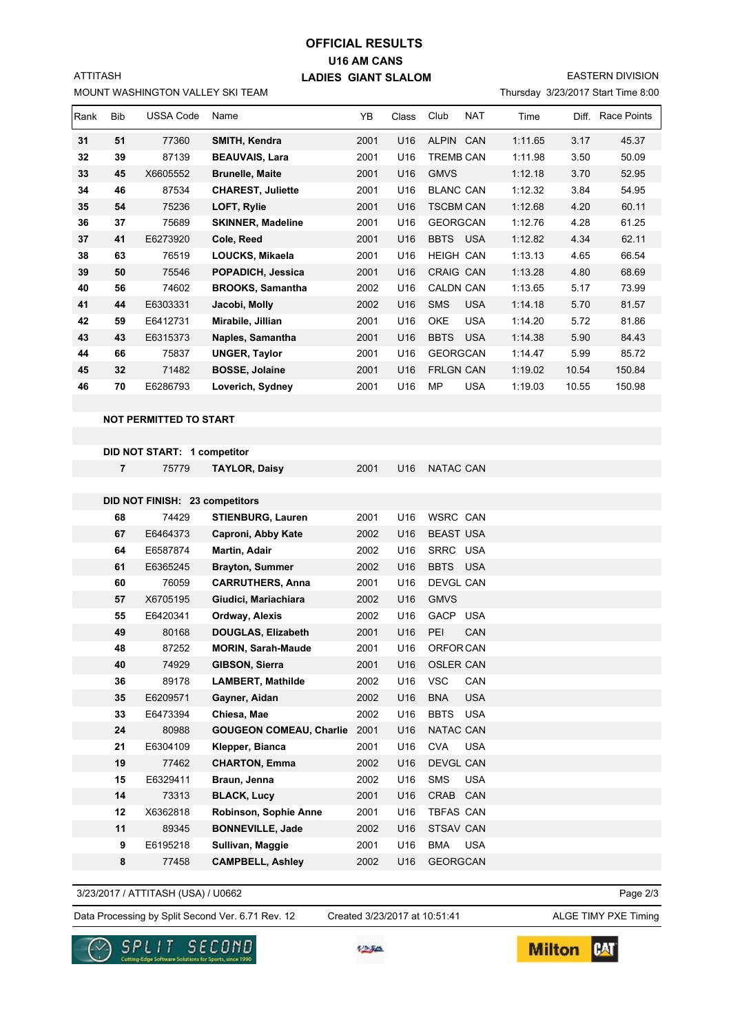# **U16 AM CANS LADIES GIANT SLALOM OFFICIAL RESULTS**

**SION** 

MOUNT WASHINGTON VALLEY SKI TEAM

ATTITASH

| <b>EASTERN DIVISION</b>            |
|------------------------------------|
| Thursday 3/23/2017 Start Time 8:00 |

| Rank | <b>Bib</b> | <b>USSA Code</b> | Name                     | YB   | Class           | Club             | <b>NAT</b> | Time    | Diff. | Race Points |
|------|------------|------------------|--------------------------|------|-----------------|------------------|------------|---------|-------|-------------|
| 31   | 51         | 77360            | SMITH, Kendra            | 2001 | U <sub>16</sub> | ALPIN CAN        |            | 1:11.65 | 3.17  | 45.37       |
| 32   | 39         | 87139            | <b>BEAUVAIS, Lara</b>    | 2001 | U16             | <b>TREMB CAN</b> |            | 1:11.98 | 3.50  | 50.09       |
| 33   | 45         | X6605552         | <b>Brunelle, Maite</b>   | 2001 | U16             | <b>GMVS</b>      |            | 1:12.18 | 3.70  | 52.95       |
| 34   | 46         | 87534            | <b>CHAREST, Juliette</b> | 2001 | U16             | <b>BLANC CAN</b> |            | 1:12.32 | 3.84  | 54.95       |
| 35   | 54         | 75236            | LOFT, Rylie              | 2001 | U <sub>16</sub> | <b>TSCBM CAN</b> |            | 1:12.68 | 4.20  | 60.11       |
| 36   | 37         | 75689            | <b>SKINNER, Madeline</b> | 2001 | U16             | <b>GEORGCAN</b>  |            | 1:12.76 | 4.28  | 61.25       |
| 37   | 41         | E6273920         | Cole, Reed               | 2001 | U16             | <b>BBTS</b>      | <b>USA</b> | 1:12.82 | 4.34  | 62.11       |
| 38   | 63         | 76519            | LOUCKS, Mikaela          | 2001 | U16             | <b>HEIGH CAN</b> |            | 1:13.13 | 4.65  | 66.54       |
| 39   | 50         | 75546            | POPADICH, Jessica        | 2001 | U <sub>16</sub> | CRAIG CAN        |            | 1:13.28 | 4.80  | 68.69       |
| 40   | 56         | 74602            | <b>BROOKS, Samantha</b>  | 2002 | U <sub>16</sub> | <b>CALDN CAN</b> |            | 1:13.65 | 5.17  | 73.99       |
| 41   | 44         | E6303331         | Jacobi, Molly            | 2002 | U <sub>16</sub> | <b>SMS</b>       | <b>USA</b> | 1:14.18 | 5.70  | 81.57       |
| 42   | 59         | E6412731         | Mirabile, Jillian        | 2001 | U16             | <b>OKE</b>       | <b>USA</b> | 1:14.20 | 5.72  | 81.86       |
| 43   | 43         | E6315373         | Naples, Samantha         | 2001 | U <sub>16</sub> | <b>BBTS</b>      | <b>USA</b> | 1:14.38 | 5.90  | 84.43       |
| 44   | 66         | 75837            | <b>UNGER, Taylor</b>     | 2001 | U16             | <b>GEORGCAN</b>  |            | 1:14.47 | 5.99  | 85.72       |
| 45   | 32         | 71482            | <b>BOSSE, Jolaine</b>    | 2001 | U <sub>16</sub> | <b>FRLGN CAN</b> |            | 1:19.02 | 10.54 | 150.84      |
| 46   | 70         | E6286793         | Loverich, Sydney         | 2001 | U <sub>16</sub> | <b>MP</b>        | <b>USA</b> | 1:19.03 | 10.55 | 150.98      |

#### **NOT PERMITTED TO START**

| DID NOT START: 1 competitor    |          |                                |      |                 |                           |  |  |  |  |  |
|--------------------------------|----------|--------------------------------|------|-----------------|---------------------------|--|--|--|--|--|
| $\overline{7}$                 | 75779    | <b>TAYLOR, Daisy</b>           | 2001 | U <sub>16</sub> | NATAC CAN                 |  |  |  |  |  |
|                                |          |                                |      |                 |                           |  |  |  |  |  |
| DID NOT FINISH: 23 competitors |          |                                |      |                 |                           |  |  |  |  |  |
| 68                             | 74429    | <b>STIENBURG, Lauren</b>       | 2001 | U <sub>16</sub> | <b>WSRC CAN</b>           |  |  |  |  |  |
| 67                             | E6464373 | Caproni, Abby Kate             | 2002 | U <sub>16</sub> | <b>BEAST USA</b>          |  |  |  |  |  |
| 64                             | E6587874 | Martin, Adair                  | 2002 | U16             | SRRC USA                  |  |  |  |  |  |
| 61                             | E6365245 | <b>Brayton, Summer</b>         | 2002 | U16             | <b>BBTS</b><br><b>USA</b> |  |  |  |  |  |
| 60                             | 76059    | <b>CARRUTHERS, Anna</b>        | 2001 | U16             | DEVGL CAN                 |  |  |  |  |  |
| 57                             | X6705195 | Giudici, Mariachiara           | 2002 | U16             | <b>GMVS</b>               |  |  |  |  |  |
| 55                             | E6420341 | Ordway, Alexis                 | 2002 | U <sub>16</sub> | <b>GACP</b><br><b>USA</b> |  |  |  |  |  |
| 49                             | 80168    | <b>DOUGLAS, Elizabeth</b>      | 2001 | U16             | PEI<br>CAN                |  |  |  |  |  |
| 48                             | 87252    | <b>MORIN, Sarah-Maude</b>      | 2001 | U16             | ORFOR CAN                 |  |  |  |  |  |
| 40                             | 74929    | GIBSON, Sierra                 | 2001 | U16             | <b>OSLER CAN</b>          |  |  |  |  |  |
| 36                             | 89178    | <b>LAMBERT, Mathilde</b>       | 2002 | U16             | <b>VSC</b><br>CAN         |  |  |  |  |  |
| 35                             | E6209571 | Gayner, Aidan                  | 2002 | U16             | <b>BNA</b><br><b>USA</b>  |  |  |  |  |  |
| 33                             | E6473394 | Chiesa, Mae                    | 2002 | U16             | <b>BBTS</b><br><b>USA</b> |  |  |  |  |  |
| 24                             | 80988    | <b>GOUGEON COMEAU, Charlie</b> | 2001 | U <sub>16</sub> | <b>NATAC CAN</b>          |  |  |  |  |  |
| 21                             | E6304109 | Klepper, Bianca                | 2001 | U16             | <b>CVA</b><br><b>USA</b>  |  |  |  |  |  |
| 19                             | 77462    | <b>CHARTON, Emma</b>           | 2002 | U16             | DEVGL CAN                 |  |  |  |  |  |
| 15                             | E6329411 | Braun, Jenna                   | 2002 | U16             | <b>SMS</b><br><b>USA</b>  |  |  |  |  |  |
| 14                             | 73313    | <b>BLACK, Lucy</b>             | 2001 | U16             | CRAB<br>CAN               |  |  |  |  |  |
| 12                             | X6362818 | Robinson, Sophie Anne          | 2001 | U16             | <b>TBFAS CAN</b>          |  |  |  |  |  |
| 11                             | 89345    | <b>BONNEVILLE, Jade</b>        | 2002 | U16             | <b>STSAV CAN</b>          |  |  |  |  |  |
| 9                              | E6195218 | Sullivan, Maggie               | 2001 | U16             | <b>BMA</b><br><b>USA</b>  |  |  |  |  |  |
| 8                              | 77458    | <b>CAMPBELL, Ashley</b>        | 2002 | U16             | <b>GEORGCAN</b>           |  |  |  |  |  |

3/23/2017 / ATTITASH (USA) / U0662

Data Processing by Split Second Ver. 6.71 Rev. 12 Created 3/23/2017 at 10:51:41 ALGE TIMY PXE Timing Created 3/23/2017 at 10:51:41

Page 2/3



4236